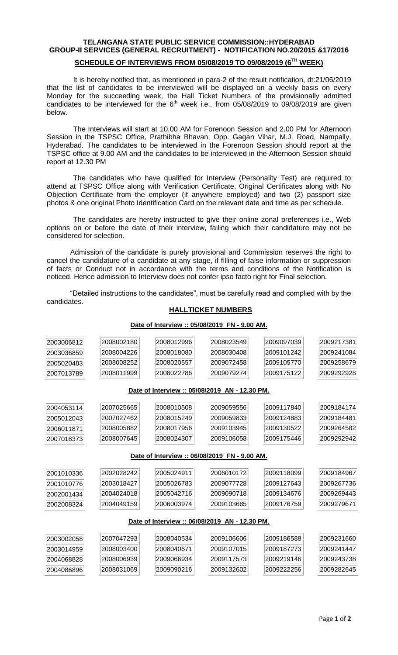# **TELANGANA STATE PUBLIC SERVICE COMMISSION::HYDERABAD GROUP-II SERVICES (GENERAL RECRUITMENT) - NOTIFICATION NO.20/2015 &17/2016**

## **SCHEDULE OF INTERVIEWS FROM 05/08/2019 TO 09/08/2019 (6 TH WEEK)**

It is hereby notified that, as mentioned in para-2 of the result notification, dt:21/06/2019 that the list of candidates to be interviewed will be displayed on a weekly basis on every Monday for the succeeding week, the Hall Ticket Numbers of the provisionally admitted candidates to be interviewed for the  $6<sup>th</sup>$  week i.e., from 05/08/2019 to 09/08/2019 are given below.

The Interviews will start at 10.00 AM for Forenoon Session and 2.00 PM for Afternoon Session in the TSPSC Office, Prathibha Bhavan, Opp. Gagan Vihar, M.J. Road, Nampally, Hyderabad. The candidates to be interviewed in the Forenoon Session should report at the TSPSC office at 9.00 AM and the candidates to be interviewed in the Afternoon Session should report at 12.30 PM

The candidates who have qualified for Interview (Personality Test) are required to attend at TSPSC Office along with Verification Certificate, Original Certificates along with No Objection Certificate from the employer (if anywhere employed) and two (2) passport size photos & one original Photo Identification Card on the relevant date and time as per schedule.

The candidates are hereby instructed to give their online zonal preferences i.e., Web options on or before the date of their interview, failing which their candidature may not be considered for selection.

Admission of the candidate is purely provisional and Commission reserves the right to cancel the candidature of a candidate at any stage, if filling of false information or suppression of facts or Conduct not in accordance with the terms and conditions of the Notification is noticed. Hence admission to Interview does not confer ipso facto right for Final selection.

"Detailed instructions to the candidates", must be carefully read and complied with by the candidates.

## **HALLTICKET NUMBERS**

#### **Date of Interview :: 05/08/2019 FN - 9.00 AM. Date of Interview :: 05/08/2019 AN - 12.30 PM. Date of Interview :: 06/08/2019 FN - 9.00 AM. Date of Interview :: 06/08/2019 AN - 12.30 PM.**

Page **1** of **2**